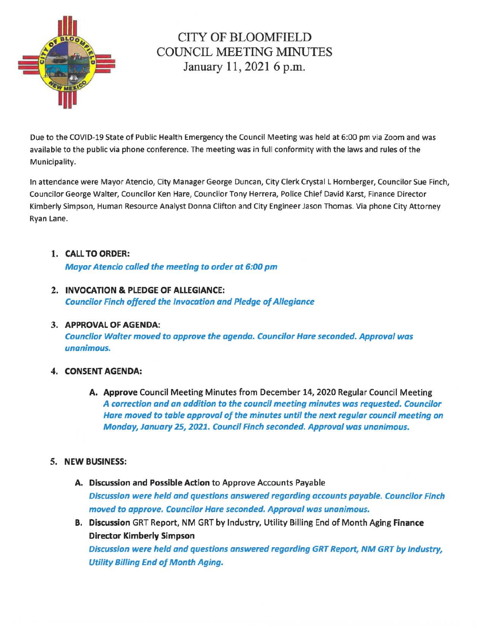

# CITY OF BLOOMFIELD COUNCIL MEETING MINUTES January 11, 2021 6 p.m.

Due to the COVID-19 State of Public Health Emergency the Council Meeting was held at 6:00 pm via Zoom and was available to the public via phone conference. The meeting was in full conformity with the laws and rules of the Municipality.

In attendance were Mayor Atencio, City Manager George Duncan, City Clerk Crystal L Hornberger, Councilor Sue Finch, Councilor George Walter, Councilor Ken Hare, Councilor Tony Herrera, Police Chief David Karst, Finance Director Kimberly Simpson, Human Resource Analyst Donna Clifton and City Engineer Jason Thomas. Via phone City Attorney Ryan Lane.

## 1. CALL TO ORDER:

Mayor Atencio called the meeting to order at 6:00 pm

2. INVOCATION & PLEDGE OF ALLEGIANCE: Councilor Finch offered the Invocation and Pledge of Allegiance

#### 3. APPROVAL OF AGENDA: Councilor Walter moved to approve the agenda. Councilor Hare seconded. Approval was unanimous.

## 4. CONSENT AGENDA:

A. Approve Council Meeting Minutes from December 14, 2020 Regular Council Meeting A correction and an addition to the council meeting minutes was requested. Councilor Hare moved to table approval of the minutes until the next regular council meeting on Monday, January 25, 2021. Council Finch seconded. Approval was unanimous.

## 5. NEW BUSINESS:

- A. Discussion and Possible Action to Approve Accounts Payable Discussion were held and questions answered regarding accounts payable. Councilor Finch moved to approve. Councilor Hare seconded. Approval was unanimous.
- B. Discussion GRT Report, NM GRT by Industry, Utility Billing End of Month Aging Finance Director Kimberly Simpson

Discussion were held and questions answered regarding GRT Report, NM GRT by Industry, Utility Billing End of Month Aging.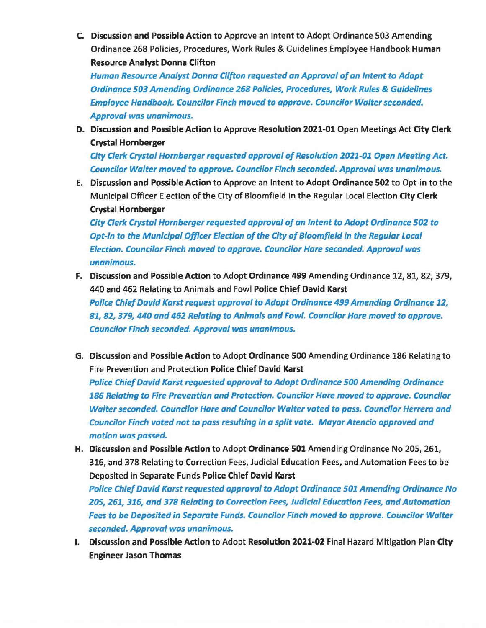C. Discussion and Possible Action to Approve an Intent to Adopt Ordinance 503 Amending Ordinance 268 Policies, Procedures, Work Rules & Guidelines Employee Handbook Human Resource Analyst Donna Clifton

Human Resource Analyst Donna Clifton requested an Approval of an Intent to Adopt Ordinance 503 Amending Ordinance 268 Policies, Procedures, Work Rules & Guidelines Employee Handbook. Councilor Finch moved to approve. Councilor Walter seconded. Approval was unanimous.

D. Discussion and Possible Action to Approve Resolution 2021-01 Open Meetings Act City Clerk Crystal Hornberger

City Clerk Crystal Hornberger requested approval of Resolution 2021-01 Open Meeting Act. Councilor Walter moved to approve. Councilor Finch seconded. Approval was unanimous.

E. Discussion and Possible Action to Approve an Intent to Adopt Ordinance 502 to Opt-in to the Municipal Officer Election of the City of Bloomfield in the Regular Local Election City Clerk Crystal Hornberger

City Clerk Crystal Hornberger requested approval of an Intent to Adopt Ordinance 502 to Opt-in to the Municipal Officer Election of the City of Bloomfield in the Regular Local Election. Councilor Finch moved to approve. Councilor Hare seconded. Approval was unanimous.

- F. Discussion and Possible Action to Adopt Ordinance 499 Amending Ordinance 12, 81, 82, 379, 440 and 462 Relating to Animals and Fowl Police Chief David Karst Police Chief David Karst request approval to Adopt Ordinance 499 Amending Ordinance 12, 81, 82, 379, 440 and 462 Relating to Animals and Fowl. Councilor Hare moved to approve. Councilor Finch seconded. Approval was unanimous.
- G. Discussion and Possible Action to Adopt Ordinance 500 Amending Ordinance 186 Relating to Fire Prevention and Protection Police Chief David Karst

Police Chief David Karst requested approval to Adopt Ordinance 500 Amending Ordinance 186 Relating to Fire Prevention and Protection. Councilor Hare moved to approve. Councilor Walter seconded. Councilor Hare and Councilor Walter voted to pass. Councilor Herrera and Councilor Finch voted not to pass resulting in a split vote. Mayor Atencio approved and motion was passed.

H. Discussion and Possible Action to Adopt Ordinance 501 Amending Ordinance No 205, 261, 316, and 378 Relating to Correction Fees, Judicial Education Fees, and Automation Fees to be Deposited in Separate Funds Police Chief David Karst

Police Chief David Karst requested approval to Adopt Ordinance 501 Amending Ordinance No 205, 261, 316, and 378 Relating to Correction Fees, Judicial Education Fees, and Automation Fees to be Deposited in Separate Funds. Councilor Finch moved to approve. Councilor Walter seconded. Approval was unanimous.

I. Discussion and Possible Action to Adopt Resolution 2021-02 Final Hazard Mitigation Plan City Engineer Jason Thomas